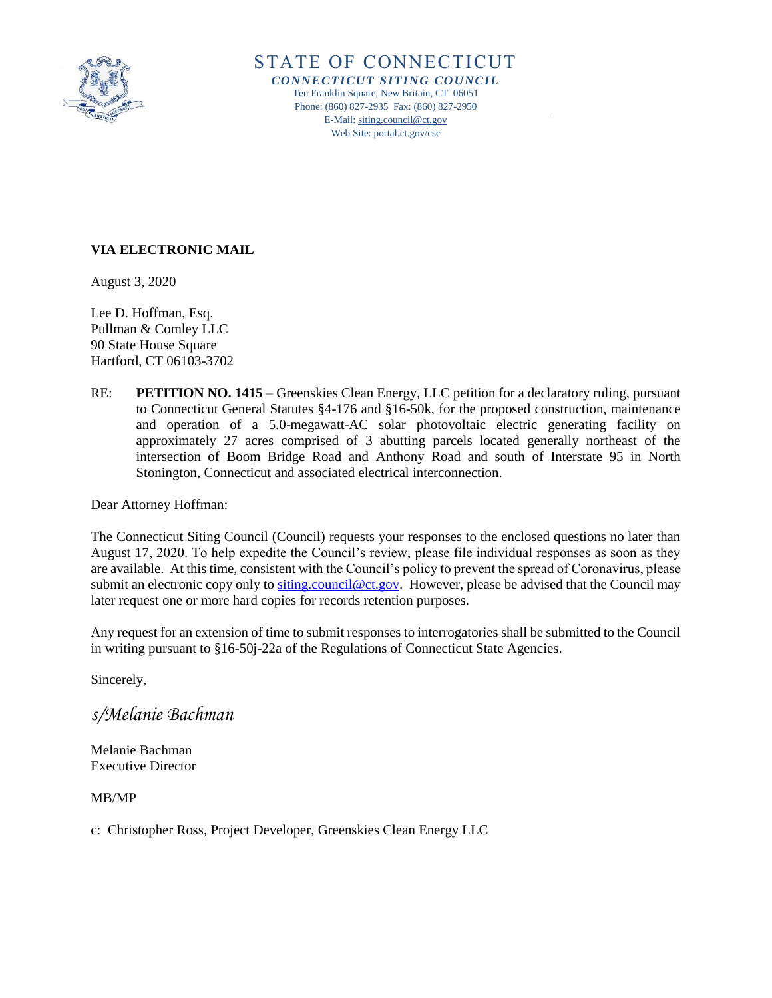

STATE OF CONNECTICUT *CONNECTICUT SITING COUNCIL* Ten Franklin Square, New Britain, CT 06051

Phone: (860) 827-2935 Fax: (860) 827-2950 E-Mail[: siting.council@ct.gov](mailto:siting.council@ct.gov) Web Site: portal.ct.gov/csc

# **VIA ELECTRONIC MAIL**

August 3, 2020

Lee D. Hoffman, Esq. Pullman & Comley LLC 90 State House Square Hartford, CT 06103-3702

RE: **PETITION NO. 1415** – Greenskies Clean Energy, LLC petition for a declaratory ruling, pursuant to Connecticut General Statutes §4-176 and §16-50k, for the proposed construction, maintenance and operation of a 5.0-megawatt-AC solar photovoltaic electric generating facility on approximately 27 acres comprised of 3 abutting parcels located generally northeast of the intersection of Boom Bridge Road and Anthony Road and south of Interstate 95 in North Stonington, Connecticut and associated electrical interconnection.

Dear Attorney Hoffman:

The Connecticut Siting Council (Council) requests your responses to the enclosed questions no later than August 17, 2020. To help expedite the Council's review, please file individual responses as soon as they are available. At this time, consistent with the Council's policy to prevent the spread of Coronavirus, please submit an electronic copy only to [siting.council@ct.gov.](mailto:siting.council@ct.gov) However, please be advised that the Council may later request one or more hard copies for records retention purposes.

Any request for an extension of time to submit responses to interrogatories shall be submitted to the Council in writing pursuant to §16-50j-22a of the Regulations of Connecticut State Agencies.

Sincerely,

*s/Melanie Bachman*

Melanie Bachman Executive Director

MB/MP

c: Christopher Ross, Project Developer, Greenskies Clean Energy LLC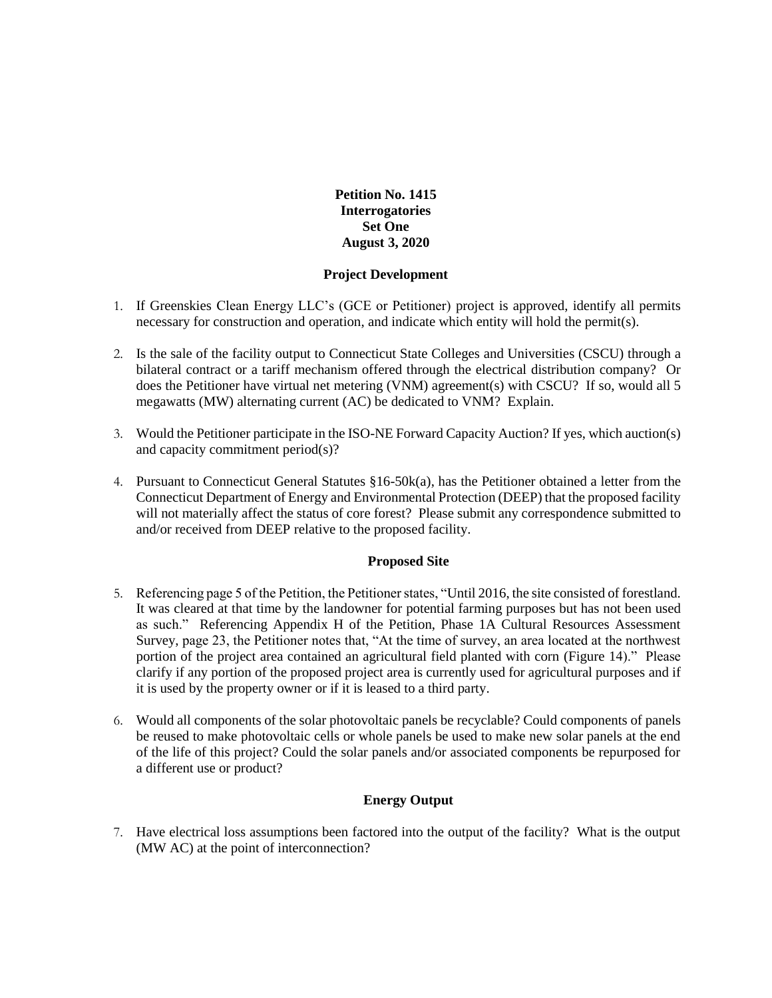**Petition No. 1415 Interrogatories Set One August 3, 2020**

### **Project Development**

- 1. If Greenskies Clean Energy LLC's (GCE or Petitioner) project is approved, identify all permits necessary for construction and operation, and indicate which entity will hold the permit(s).
- 2. Is the sale of the facility output to Connecticut State Colleges and Universities (CSCU) through a bilateral contract or a tariff mechanism offered through the electrical distribution company? Or does the Petitioner have virtual net metering (VNM) agreement(s) with CSCU? If so, would all 5 megawatts (MW) alternating current (AC) be dedicated to VNM? Explain.
- 3. Would the Petitioner participate in the ISO-NE Forward Capacity Auction? If yes, which auction(s) and capacity commitment period(s)?
- 4. Pursuant to Connecticut General Statutes §16-50k(a), has the Petitioner obtained a letter from the Connecticut Department of Energy and Environmental Protection (DEEP) that the proposed facility will not materially affect the status of core forest? Please submit any correspondence submitted to and/or received from DEEP relative to the proposed facility.

# **Proposed Site**

- 5. Referencing page 5 of the Petition, the Petitioner states, "Until 2016, the site consisted of forestland. It was cleared at that time by the landowner for potential farming purposes but has not been used as such." Referencing Appendix H of the Petition, Phase 1A Cultural Resources Assessment Survey, page 23, the Petitioner notes that, "At the time of survey, an area located at the northwest portion of the project area contained an agricultural field planted with corn (Figure 14)." Please clarify if any portion of the proposed project area is currently used for agricultural purposes and if it is used by the property owner or if it is leased to a third party.
- 6. Would all components of the solar photovoltaic panels be recyclable? Could components of panels be reused to make photovoltaic cells or whole panels be used to make new solar panels at the end of the life of this project? Could the solar panels and/or associated components be repurposed for a different use or product?

# **Energy Output**

7. Have electrical loss assumptions been factored into the output of the facility? What is the output (MW AC) at the point of interconnection?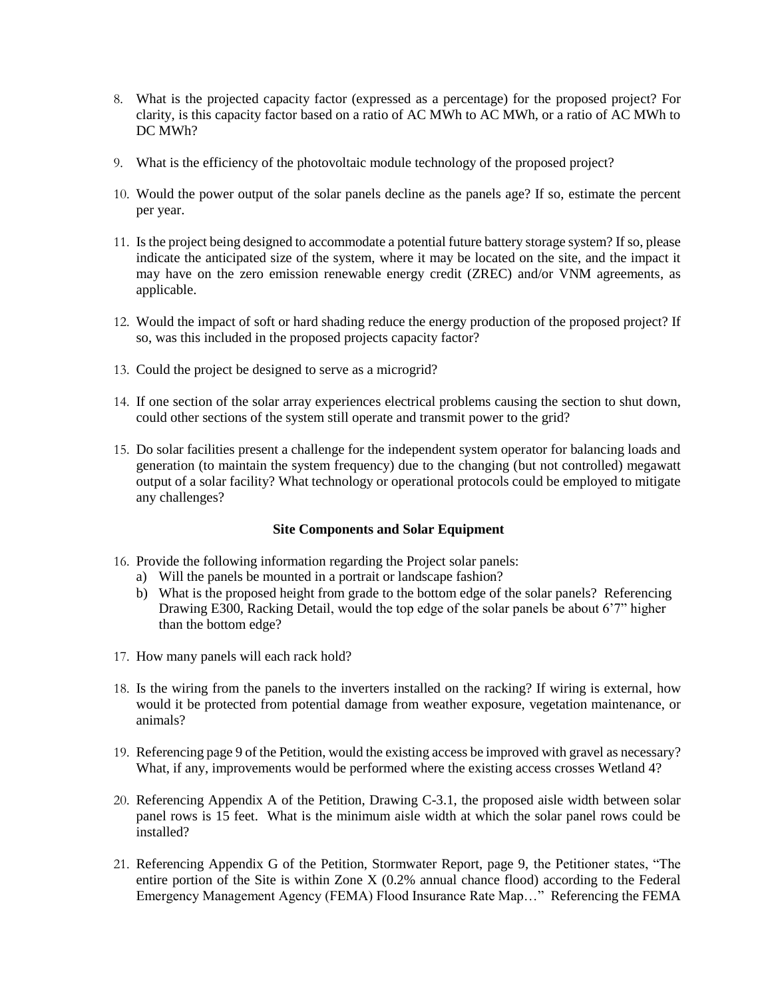- 8. What is the projected capacity factor (expressed as a percentage) for the proposed project? For clarity, is this capacity factor based on a ratio of AC MWh to AC MWh, or a ratio of AC MWh to DC MWh?
- 9. What is the efficiency of the photovoltaic module technology of the proposed project?
- 10. Would the power output of the solar panels decline as the panels age? If so, estimate the percent per year.
- 11. Is the project being designed to accommodate a potential future battery storage system? If so, please indicate the anticipated size of the system, where it may be located on the site, and the impact it may have on the zero emission renewable energy credit (ZREC) and/or VNM agreements, as applicable.
- 12. Would the impact of soft or hard shading reduce the energy production of the proposed project? If so, was this included in the proposed projects capacity factor?
- 13. Could the project be designed to serve as a microgrid?
- 14. If one section of the solar array experiences electrical problems causing the section to shut down, could other sections of the system still operate and transmit power to the grid?
- 15. Do solar facilities present a challenge for the independent system operator for balancing loads and generation (to maintain the system frequency) due to the changing (but not controlled) megawatt output of a solar facility? What technology or operational protocols could be employed to mitigate any challenges?

# **Site Components and Solar Equipment**

- 16. Provide the following information regarding the Project solar panels:
	- a) Will the panels be mounted in a portrait or landscape fashion?
	- b) What is the proposed height from grade to the bottom edge of the solar panels? Referencing Drawing E300, Racking Detail, would the top edge of the solar panels be about 6'7" higher than the bottom edge?
- 17. How many panels will each rack hold?
- 18. Is the wiring from the panels to the inverters installed on the racking? If wiring is external, how would it be protected from potential damage from weather exposure, vegetation maintenance, or animals?
- 19. Referencing page 9 of the Petition, would the existing access be improved with gravel as necessary? What, if any, improvements would be performed where the existing access crosses Wetland 4?
- 20. Referencing Appendix A of the Petition, Drawing C-3.1, the proposed aisle width between solar panel rows is 15 feet. What is the minimum aisle width at which the solar panel rows could be installed?
- 21. Referencing Appendix G of the Petition, Stormwater Report, page 9, the Petitioner states, "The entire portion of the Site is within Zone X (0.2% annual chance flood) according to the Federal Emergency Management Agency (FEMA) Flood Insurance Rate Map…" Referencing the FEMA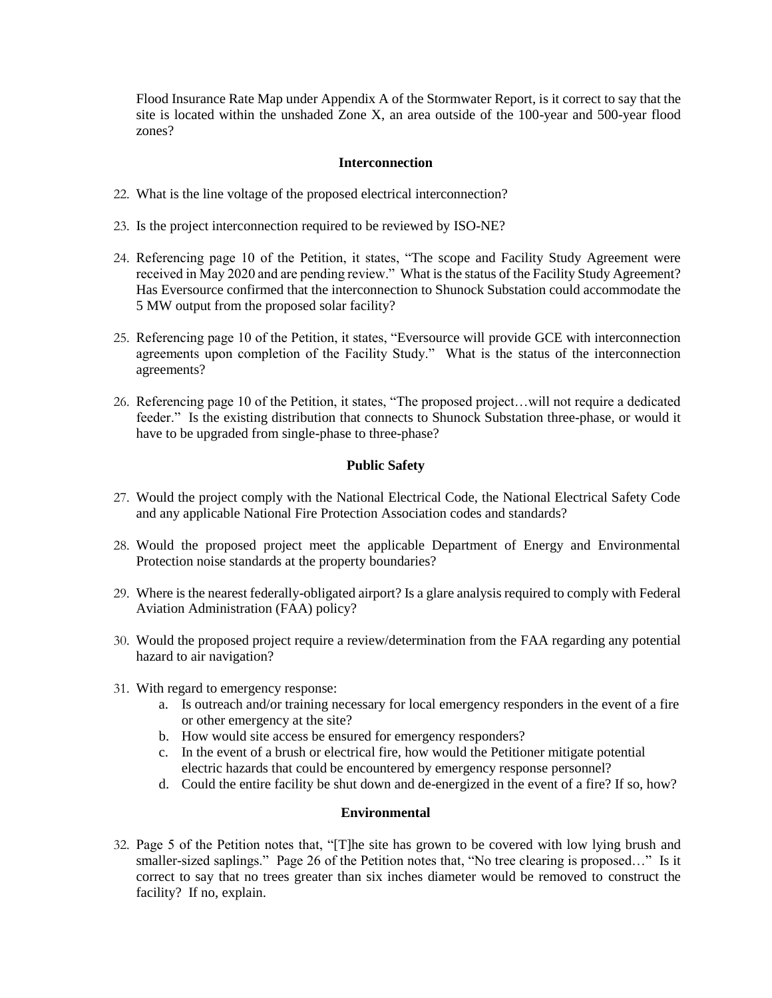Flood Insurance Rate Map under Appendix A of the Stormwater Report, is it correct to say that the site is located within the unshaded Zone X, an area outside of the 100-year and 500-year flood zones?

## **Interconnection**

- 22. What is the line voltage of the proposed electrical interconnection?
- 23. Is the project interconnection required to be reviewed by ISO-NE?
- 24. Referencing page 10 of the Petition, it states, "The scope and Facility Study Agreement were received in May 2020 and are pending review." What is the status of the Facility Study Agreement? Has Eversource confirmed that the interconnection to Shunock Substation could accommodate the 5 MW output from the proposed solar facility?
- 25. Referencing page 10 of the Petition, it states, "Eversource will provide GCE with interconnection agreements upon completion of the Facility Study." What is the status of the interconnection agreements?
- 26. Referencing page 10 of the Petition, it states, "The proposed project…will not require a dedicated feeder." Is the existing distribution that connects to Shunock Substation three-phase, or would it have to be upgraded from single-phase to three-phase?

## **Public Safety**

- 27. Would the project comply with the National Electrical Code, the National Electrical Safety Code and any applicable National Fire Protection Association codes and standards?
- 28. Would the proposed project meet the applicable Department of Energy and Environmental Protection noise standards at the property boundaries?
- 29. Where is the nearest federally-obligated airport? Is a glare analysis required to comply with Federal Aviation Administration (FAA) policy?
- 30. Would the proposed project require a review/determination from the FAA regarding any potential hazard to air navigation?
- 31. With regard to emergency response:
	- a. Is outreach and/or training necessary for local emergency responders in the event of a fire or other emergency at the site?
	- b. How would site access be ensured for emergency responders?
	- c. In the event of a brush or electrical fire, how would the Petitioner mitigate potential electric hazards that could be encountered by emergency response personnel?
	- d. Could the entire facility be shut down and de-energized in the event of a fire? If so, how?

#### **Environmental**

32. Page 5 of the Petition notes that, "[T]he site has grown to be covered with low lying brush and smaller-sized saplings." Page 26 of the Petition notes that, "No tree clearing is proposed…" Is it correct to say that no trees greater than six inches diameter would be removed to construct the facility? If no, explain.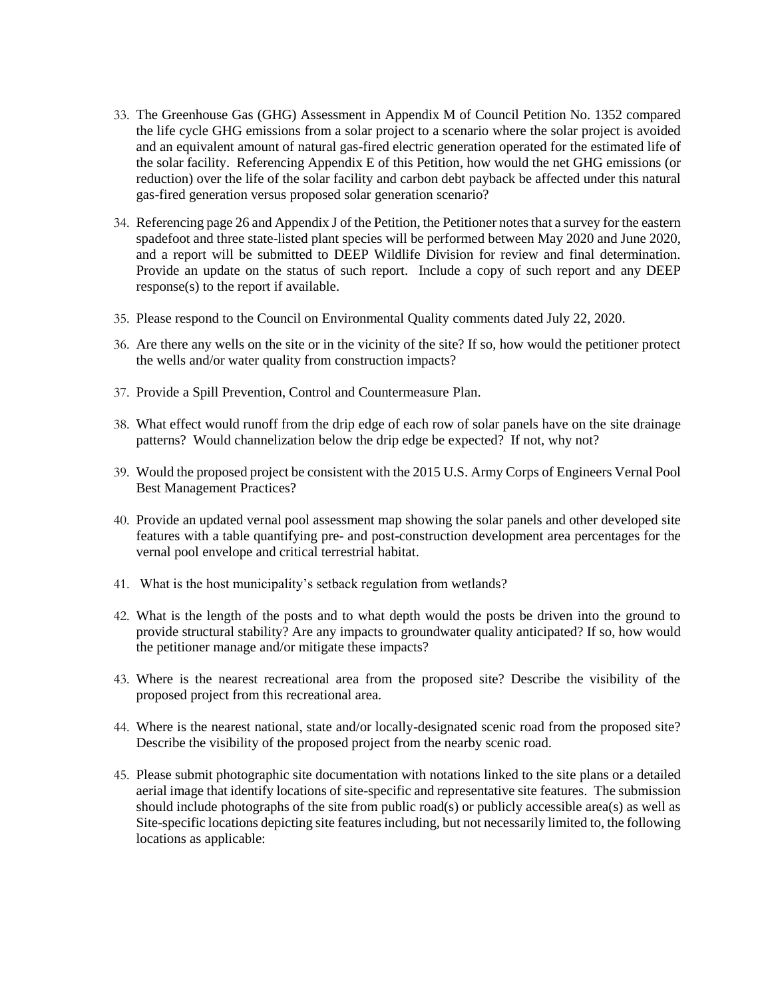- 33. The Greenhouse Gas (GHG) Assessment in Appendix M of Council Petition No. 1352 compared the life cycle GHG emissions from a solar project to a scenario where the solar project is avoided and an equivalent amount of natural gas-fired electric generation operated for the estimated life of the solar facility. Referencing Appendix E of this Petition, how would the net GHG emissions (or reduction) over the life of the solar facility and carbon debt payback be affected under this natural gas-fired generation versus proposed solar generation scenario?
- 34. Referencing page 26 and Appendix J of the Petition, the Petitioner notes that a survey for the eastern spadefoot and three state-listed plant species will be performed between May 2020 and June 2020, and a report will be submitted to DEEP Wildlife Division for review and final determination. Provide an update on the status of such report. Include a copy of such report and any DEEP response(s) to the report if available.
- 35. Please respond to the Council on Environmental Quality comments dated July 22, 2020.
- 36. Are there any wells on the site or in the vicinity of the site? If so, how would the petitioner protect the wells and/or water quality from construction impacts?
- 37. Provide a Spill Prevention, Control and Countermeasure Plan.
- 38. What effect would runoff from the drip edge of each row of solar panels have on the site drainage patterns? Would channelization below the drip edge be expected? If not, why not?
- 39. Would the proposed project be consistent with the 2015 U.S. Army Corps of Engineers Vernal Pool Best Management Practices?
- 40. Provide an updated vernal pool assessment map showing the solar panels and other developed site features with a table quantifying pre- and post-construction development area percentages for the vernal pool envelope and critical terrestrial habitat.
- 41. What is the host municipality's setback regulation from wetlands?
- 42. What is the length of the posts and to what depth would the posts be driven into the ground to provide structural stability? Are any impacts to groundwater quality anticipated? If so, how would the petitioner manage and/or mitigate these impacts?
- 43. Where is the nearest recreational area from the proposed site? Describe the visibility of the proposed project from this recreational area.
- 44. Where is the nearest national, state and/or locally-designated scenic road from the proposed site? Describe the visibility of the proposed project from the nearby scenic road.
- 45. Please submit photographic site documentation with notations linked to the site plans or a detailed aerial image that identify locations of site-specific and representative site features. The submission should include photographs of the site from public road(s) or publicly accessible area(s) as well as Site-specific locations depicting site features including, but not necessarily limited to, the following locations as applicable: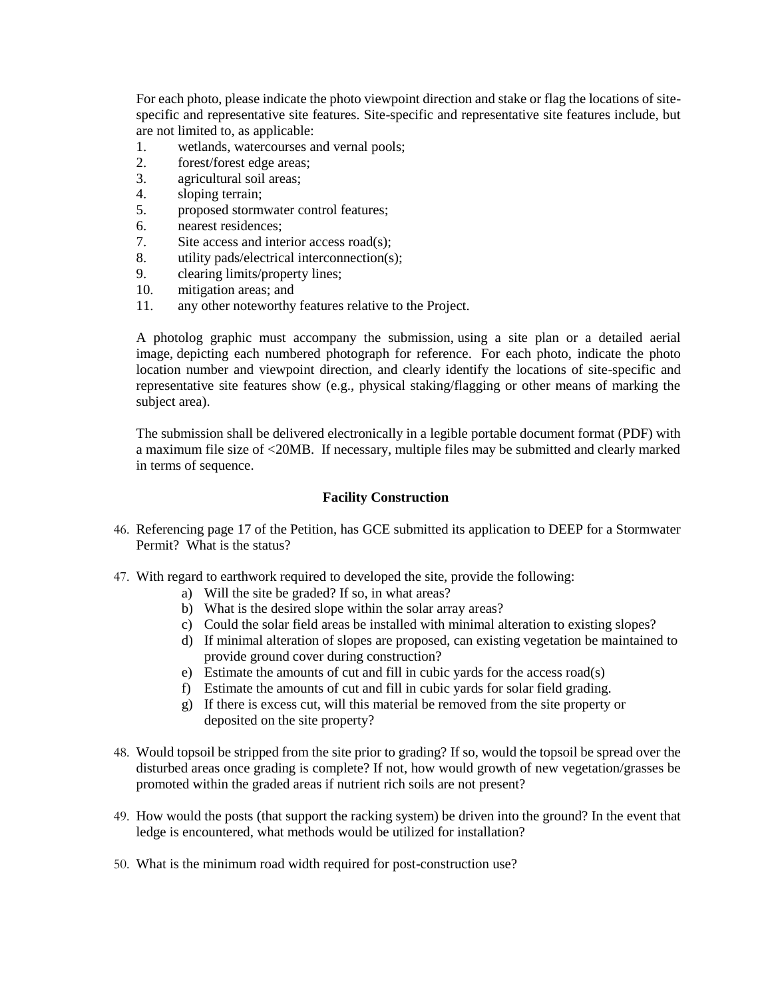For each photo, please indicate the photo viewpoint direction and stake or flag the locations of sitespecific and representative site features. Site-specific and representative site features include, but are not limited to, as applicable:

- 1. wetlands, watercourses and vernal pools;
- 2. forest/forest edge areas;
- 3. agricultural soil areas;
- 4. sloping terrain;
- 5. proposed stormwater control features;
- 6. nearest residences;
- 7. Site access and interior access road(s);
- 8. utility pads/electrical interconnection(s);
- 9. clearing limits/property lines;
- 10. mitigation areas; and
- 11. any other noteworthy features relative to the Project.

A photolog graphic must accompany the submission, using a site plan or a detailed aerial image, depicting each numbered photograph for reference. For each photo, indicate the photo location number and viewpoint direction, and clearly identify the locations of site-specific and representative site features show (e.g., physical staking/flagging or other means of marking the subject area).

The submission shall be delivered electronically in a legible portable document format (PDF) with a maximum file size of <20MB. If necessary, multiple files may be submitted and clearly marked in terms of sequence.

### **Facility Construction**

- 46. Referencing page 17 of the Petition, has GCE submitted its application to DEEP for a Stormwater Permit? What is the status?
- 47. With regard to earthwork required to developed the site, provide the following:
	- a) Will the site be graded? If so, in what areas?
	- b) What is the desired slope within the solar array areas?
	- c) Could the solar field areas be installed with minimal alteration to existing slopes?
	- d) If minimal alteration of slopes are proposed, can existing vegetation be maintained to provide ground cover during construction?
	- e) Estimate the amounts of cut and fill in cubic yards for the access road(s)
	- f) Estimate the amounts of cut and fill in cubic yards for solar field grading.
	- g) If there is excess cut, will this material be removed from the site property or deposited on the site property?
- 48. Would topsoil be stripped from the site prior to grading? If so, would the topsoil be spread over the disturbed areas once grading is complete? If not, how would growth of new vegetation/grasses be promoted within the graded areas if nutrient rich soils are not present?
- 49. How would the posts (that support the racking system) be driven into the ground? In the event that ledge is encountered, what methods would be utilized for installation?
- 50. What is the minimum road width required for post-construction use?